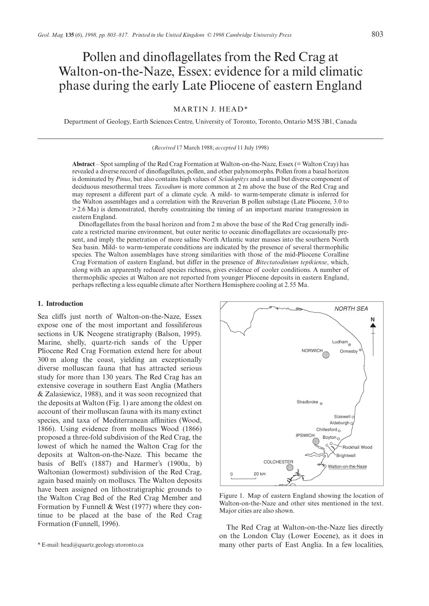# Pollen and dinoflagellates from the Red Crag at Walton-on-the-Naze, Essex: evidence for a mild climatic phase during the early Late Pliocene of eastern England

# MARTIN J. HEAD\*

Department of Geology, Earth Sciences Centre, University of Toronto, Toronto, Ontario M5S 3B1, Canada

#### (*Received* 17 March 1988; *accepted* 11 July 1998)

**Abstract** – Spot sampling of the Red Crag Formation at Walton-on-the-Naze, Essex (= Walton Cray) has revealed a diverse record of dinoflagellates, pollen, and other palynomorphs. Pollen from a basal horizon is dominated by *Pinus*, but also contains high values of *Sciadopitys* and a small but diverse component of deciduous mesothermal trees. *Taxodium* is more common at 2 m above the base of the Red Crag and may represent a different part of a climate cycle. A mild- to warm-temperate climate is inferred for the Walton assemblages and a correlation with the Reuverian B pollen substage (Late Pliocene, 3.0 to > 2.6 Ma) is demonstrated, thereby constraining the timing of an important marine transgression in eastern England.

Dinoflagellates from the basal horizon and from 2 m above the base of the Red Crag generally indicate a restricted marine environment, but outer neritic to oceanic dinoflagellates are occasionally present, and imply the penetration of more saline North Atlantic water masses into the southern North Sea basin. Mild- to warm-temperate conditions are indicated by the presence of several thermophilic species. The Walton assemblages have strong similarities with those of the mid-Pliocene Coralline Crag Formation of eastern England, but differ in the presence of *Bitectatodinium tepikiense*, which, along with an apparently reduced species richness, gives evidence of cooler conditions. A number of thermophilic species at Walton are not reported from younger Pliocene deposits in eastern England, perhaps reflecting a less equable climate after Northern Hemisphere cooling at 2.55 Ma.

#### **1. Introduction**

Sea cliffs just north of Walton-on-the-Naze, Essex expose one of the most important and fossiliferous sections in UK Neogene stratigraphy (Balson, 1995). Marine, shelly, quartz-rich sands of the Upper Pliocene Red Crag Formation extend here for about 300 m along the coast, yielding an exceptionally diverse molluscan fauna that has attracted serious study for more than 130 years. The Red Crag has an extensive coverage in southern East Anglia (Mathers & Zalasiewicz, 1988), and it was soon recognized that the deposits at Walton (Fig. 1) are among the oldest on account of their molluscan fauna with its many extinct species, and taxa of Mediterranean affinities (Wood, 1866). Using evidence from molluscs Wood (1866) proposed a three-fold subdivision of the Red Crag, the lowest of which he named the Walton Crag for the deposits at Walton-on-the-Naze. This became the basis of Bell's (1887) and Harmer's (1900a, b) Waltonian (lowermost) subdivision of the Red Crag, again based mainly on molluscs. The Walton deposits have been assigned on lithostratigraphic grounds to the Walton Crag Bed of the Red Crag Member and Formation by Funnell & West (1977) where they continue to be placed at the base of the Red Crag



Figure 1. Map of eastern England showing the location of Walton-on-the-Naze and other sites mentioned in the text. Major cities are also shown.

Formation (Funnell, 1996). The Red Crag at Walton-on-the-Naze lies directly on the London Clay (Lower Eocene), as it does in many other parts of East Anglia. In a few localities,

<sup>\*</sup> E-mail: head@quartz.geology.utoronto.ca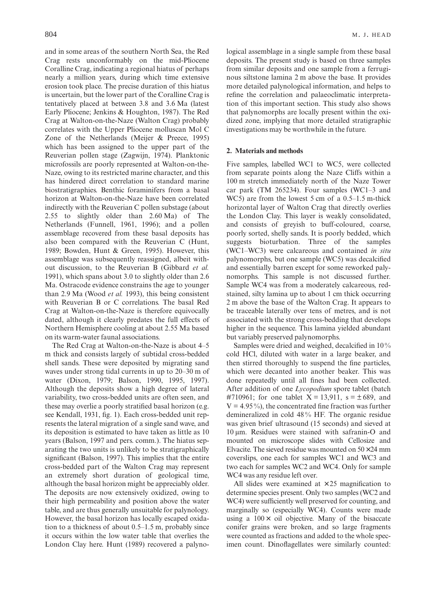and in some areas of the southern North Sea, the Red Crag rests unconformably on the mid-Pliocene Coralline Crag, indicating a regional hiatus of perhaps nearly a million years, during which time extensive erosion took place. The precise duration of this hiatus is uncertain, but the lower part of the Coralline Crag is tentatively placed at between 3.8 and 3.6 Ma (latest Early Pliocene; Jenkins & Houghton, 1987). The Red Crag at Walton-on-the-Naze (Walton Crag) probably correlates with the Upper Pliocene molluscan Mol C Zone of the Netherlands (Meijer & Preece, 1995) which has been assigned to the upper part of the Reuverian pollen stage (Zagwijn, 1974). Planktonic microfossils are poorly represented at Walton-on-the-Naze, owing to its restricted marine character, and this has hindered direct correlation to standard marine biostratigraphies. Benthic foraminifers from a basal horizon at Walton-on-the-Naze have been correlated indirectly with the Reuverian C pollen substage (about 2.55 to slightly older than 2.60 Ma) of The Netherlands (Funnell, 1961, 1996); and a pollen assemblage recovered from these basal deposits has also been compared with the Reuverian C (Hunt, 1989; Bowden, Hunt & Green, 1995). However, this assemblage was subsequently reassigned, albeit without discussion, to the Reuverian B (Gibbard *et al.* 1991), which spans about 3.0 to slightly older than 2.6 Ma. Ostracode evidence constrains the age to younger than 2.9 Ma (Wood *et al.* 1993), this being consistent with Reuverian B or C correlations. The basal Red Crag at Walton-on-the-Naze is therefore equivocally dated, although it clearly predates the full effects of Northern Hemisphere cooling at about 2.55 Ma based on its warm-water faunal associations.

The Red Crag at Walton-on-the-Naze is about 4–5 m thick and consists largely of subtidal cross-bedded shell sands. These were deposited by migrating sand waves under strong tidal currents in up to 20–30 m of water (Dixon, 1979; Balson, 1990, 1995, 1997). Although the deposits show a high degree of lateral variability, two cross-bedded units are often seen, and these may overlie a poorly stratified basal horizon (e.g. see Kendall, 1931, fig. 1). Each cross-bedded unit represents the lateral migration of a single sand wave, and its deposition is estimated to have taken as little as 10 years (Balson, 1997 and pers. comm.). The hiatus separating the two units is unlikely to be stratigraphically significant (Balson, 1997). This implies that the entire cross-bedded part of the Walton Crag may represent an extremely short duration of geological time, although the basal horizon might be appreciably older. The deposits are now extensively oxidized, owing to their high permeability and position above the water table, and are thus generally unsuitable for palynology. However, the basal horizon has locally escaped oxidation to a thickness of about 0.5–1.5 m, probably since it occurs within the low water table that overlies the London Clay here. Hunt (1989) recovered a palyno-

logical assemblage in a single sample from these basal deposits. The present study is based on three samples from similar deposits and one sample from a ferruginous siltstone lamina 2 m above the base. It provides more detailed palynological information, and helps to refine the correlation and palaeoclimatic interpretation of this important section. This study also shows that palynomorphs are locally present within the oxidized zone, implying that more detailed stratigraphic investigations may be worthwhile in the future.

# **2. Materials and methods**

Five samples, labelled WC1 to WC5, were collected from separate points along the Naze Cliffs within a 100 m stretch immediately north of the Naze Tower car park (TM 265234). Four samples (WC1–3 and WC5) are from the lowest 5 cm of a 0.5–1.5 m-thick horizontal layer of Walton Crag that directly overlies the London Clay. This layer is weakly consolidated, and consists of greyish to buff-coloured, coarse, poorly sorted, shelly sands. It is poorly bedded, which suggests bioturbation. Three of the samples (WC1–WC3) were calcareous and contained *in situ* palynomorphs, but one sample (WC5) was decalcified and essentially barren except for some reworked palynomorphs. This sample is not discussed further. Sample WC4 was from a moderately calcareous, redstained, silty lamina up to about 1 cm thick occurring 2 m above the base of the Walton Crag. It appears to be traceable laterally over tens of metres, and is not associated with the strong cross-bedding that develops higher in the sequence. This lamina yielded abundant but variably preserved palynomorphs.

Samples were dried and weighed, decalcified in 10 % cold HCl, diluted with water in a large beaker, and then stirred thoroughly to suspend the fine particles, which were decanted into another beaker. This was done repeatedly until all fines had been collected. After addition of one *Lycopodium* spore tablet (batch #710961; for one tablet  $X = 13,911$ ,  $s = \pm 689$ , and  $V = 4.95\%$ , the concentrated fine fraction was further demineralized in cold 48 % HF. The organic residue was given brief ultrasound (15 seconds) and sieved at 10 µm. Residues were stained with safranin-O and mounted on microscope slides with Cellosize and Elvacite. The sieved residue was mounted on  $50\times24$  mm coverslips, one each for samples WC1 and WC3 and two each for samples WC2 and WC4. Only for sample WC4 was any residue left over.

All slides were examined at  $\times 25$  magnification to determine species present. Only two samples (WC2 and WC4) were sufficiently well preserved for counting, and marginally so (especially WC4). Counts were made using a  $100 \times$  oil objective. Many of the bisaccate conifer grains were broken, and so large fragments were counted as fractions and added to the whole specimen count. Dinoflagellates were similarly counted: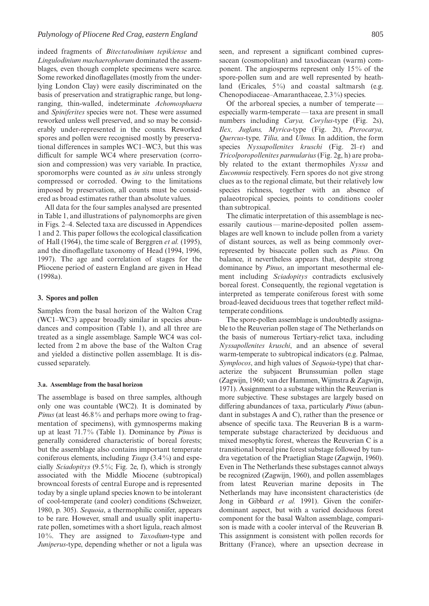indeed fragments of *Bitectatodinium tepikiense* and *Lingulodinium machaerophorum* dominated the assemblages, even though complete specimens were scarce. Some reworked dinoflagellates (mostly from the underlying London Clay) were easily discriminated on the basis of preservation and stratigraphic range, but longranging, thin-walled, indeterminate *Achomosphaera* and *Spiniferites* species were not. These were assumed reworked unless well preserved, and so may be considerably under-represented in the counts. Reworked spores and pollen were recognised mostly by preservational differences in samples WC1–WC3, but this was difficult for sample WC4 where preservation (corrosion and compression) was very variable. In practice, sporomorphs were counted as *in situ* unless strongly compressed or corroded. Owing to the limitations imposed by preservation, all counts must be considered as broad estimates rather than absolute values.

All data for the four samples analysed are presented in Table 1, and illustrations of palynomorphs are given in Figs. 2–4. Selected taxa are discussed in Appendices 1 and 2. This paper follows the ecological classification of Hall (1964), the time scale of Berggren *et al.* (1995), and the dinoflagellate taxonomy of Head (1994, 1996, 1997). The age and correlation of stages for the Pliocene period of eastern England are given in Head (1998a).

### **3. Spores and pollen**

Samples from the basal horizon of the Walton Crag (WC1–WC3) appear broadly similar in species abundances and composition (Table 1), and all three are treated as a single assemblage. Sample WC4 was collected from 2 m above the base of the Walton Crag and yielded a distinctive pollen assemblage. It is discussed separately.

### **3.a. Assemblage from the basal horizon**

The assemblage is based on three samples, although only one was countable (WC2). It is dominated by *Pinus* (at least 46.8% and perhaps more owing to fragmentation of specimens), with gymnosperms making up at least 71.7 % (Table 1). Dominance by *Pinus* is generally considered characteristic of boreal forests; but the assemblage also contains important temperate coniferous elements, including *Tsuga* (3.4 %) and especially *Sciadopitys* (9.5 %; Fig. 2e, f), which is strongly associated with the Middle Miocene (subtropical) browncoal forests of central Europe and is represented today by a single upland species known to be intolerant of cool-temperate (and cooler) conditions (Schweizer, 1980, p. 305). *Sequoia*, a thermophilic conifer, appears to be rare. However, small and usually split inaperturate pollen, sometimes with a short ligula, reach almost 10 %. They are assigned to *Taxodium*-type and *Juniperus*-type, depending whether or not a ligula was seen, and represent a significant combined cupressacean (cosmopolitan) and taxodiacean (warm) component. The angiosperms represent only 15 % of the spore-pollen sum and are well represented by heathland (Ericales,  $5\%$ ) and coastal saltmarsh (e.g. Chenopodiaceae–Amaranthaceae, 2.3 %) species.

Of the arboreal species, a number of temperate especially warm-temperate — taxa are present in small numbers including *Carya, Corylus*-type (Fig. 2s), *Ilex, Juglans, Myrica*-type (Fig. 2t), *Pterocarya, Quercus*-type*, Tilia,* and *Ulmus.* In addition, the form species *Nyssapollenites kruschi* (Fig. 2l–r) and *Tricolporopollenites parmularius* (Fig. 2g, h) are probably related to the extant thermophiles *Nyssa* and *Eucommia* respectively. Fern spores do not give strong clues as to the regional climate, but their relatively low species richness, together with an absence of palaeotropical species, points to conditions cooler than subtropical.

The climatic interpretation of this assemblage is necessarily cautious — marine-deposited pollen assemblages are well known to include pollen from a variety of distant sources, as well as being commonly overrepresented by bisaccate pollen such as *Pinus*. On balance, it nevertheless appears that, despite strong dominance by *Pinus*, an important mesothermal element including *Sciadopitys* contradicts exclusively boreal forest. Consequently, the regional vegetation is interpreted as temperate coniferous forest with some broad-leaved deciduous trees that together reflect mildtemperate conditions.

The spore-pollen assemblage is undoubtedly assignable to the Reuverian pollen stage of The Netherlands on the basis of numerous Tertiary-relict taxa, including *Nyssapollenites kruschi*, and an absence of several warm-temperate to subtropical indicators (e.g. Palmae, *Symplocos*, and high values of *Sequoia*-type) that characterize the subjacent Brunssumian pollen stage (Zagwijn, 1960; van der Hammen, Wijmstra & Zagwijn, 1971). Assignment to a substage within the Reuverian is more subjective. These substages are largely based on differing abundances of taxa, particularly *Pinus* (abundant in substages A and C), rather than the presence or absence of specific taxa. The Reuverian B is a warmtemperate substage characterized by deciduous and mixed mesophytic forest, whereas the Reuverian C is a transitional boreal pine forest substage followed by tundra vegetation of the Praetiglian Stage (Zagwijn, 1960). Even in The Netherlands these substages cannot always be recognized (Zagwijn, 1960), and pollen assemblages from latest Reuverian marine deposits in The Netherlands may have inconsistent characteristics (de Jong in Gibbard *et al.* 1991). Given the coniferdominant aspect, but with a varied deciduous forest component for the basal Walton assemblage, comparison is made with a cooler interval of the Reuverian B. This assignment is consistent with pollen records for Brittany (France), where an upsection decrease in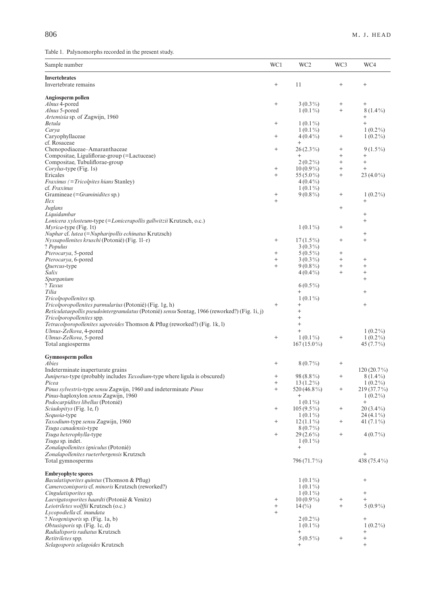Table 1. Palynomorphs recorded in the present study.

| Sample number                                                                                 | WC1                              | WC <sub>2</sub>           | WC3               | WC4               |
|-----------------------------------------------------------------------------------------------|----------------------------------|---------------------------|-------------------|-------------------|
|                                                                                               |                                  |                           |                   |                   |
| <b>Invertebrates</b><br>Invertebrate remains                                                  | $\qquad \qquad +$                | 11                        | $^{+}$            | $^{+}$            |
| Angiosperm pollen                                                                             |                                  |                           |                   |                   |
| Alnus 4-pored                                                                                 | $^{+}$                           | $3(0.3\%)$                | $^{+}$            | $^{+}$            |
| Alnus 5-pored                                                                                 |                                  | $1(0.1\%)$                | $\qquad \qquad +$ | $8(1.4\%)$        |
| Artemisia sp. of Zagwijn, 1960                                                                |                                  |                           |                   | $^{+}$            |
| Betula                                                                                        | $^{+}$                           | $1(0.1\%)$                |                   | $^{+}$            |
| Carya                                                                                         |                                  | $1(0.1\%)$                |                   | $1(0.2\%)$        |
| Caryophyllaceae                                                                               | $\begin{array}{c} + \end{array}$ | $4(0.4\%)$                | $^{+}$            | $1(0.2\%)$        |
| cf. Rosaceae                                                                                  |                                  | $^{+}$                    |                   |                   |
| Chenopodiaceae-Amaranthaceae                                                                  | $^{+}$                           | $26(2.3\%)$               | $^{+}$            | $9(1.5\%)$        |
| Compositae, Liguliflorae-group (=Lactuceae)                                                   |                                  | $^{+}$                    | $^{+}$            | $^{+}$            |
| Compositae, Tubuliflorae-group                                                                |                                  | $2(0.2\%)$                | $^{+}$            | $\qquad \qquad +$ |
| Corylus-type (Fig. 1s)                                                                        | $^{+}$                           | $10(0.9\%)$               | $^{+}$            | $^{+}$            |
| Ericales<br><i>Fraxinus</i> (= <i>Tricolpites hians</i> Stanley)                              | $^{+}$                           | 55 (5.0%)<br>$4(0.4\%)$   | $^{+}$            | $23(4.0\%)$       |
| cf. Fraxinus                                                                                  |                                  | $1(0.1\%)$                |                   |                   |
| Gramineae (= Graminidites sp.)                                                                | $^{+}$                           | $9(0.8\%)$                | $^{+}$            | $1(0.2\%)$        |
| Ilex                                                                                          | $\qquad \qquad +$                |                           |                   | $^{+}$            |
| Juglans                                                                                       |                                  |                           | $^{+}$            |                   |
| Liquidambar                                                                                   |                                  |                           |                   | $^+$              |
| Lonicera xylosteum-type (=Lonicerapollis gallwitzii Krutzsch, o.c.)                           |                                  |                           |                   | $^{+}$            |
| $Myrica$ -type (Fig. 1t)                                                                      |                                  | $1(0.1\%)$                | $^{+}$            |                   |
| Nuphar cf. lutea (=Nupharipollis echinatus Krutzsch)                                          |                                  |                           |                   | $^+$              |
| Nyssapollenites kruschi (Potonié) (Fig. 11-r)                                                 | $\qquad \qquad +$                | $17(1.5\%)$               | $^{+}$            | $^{+}$            |
| ? Populus                                                                                     |                                  | $3(0.3\%)$                |                   |                   |
| Pterocarya, 5-pored                                                                           | $^{+}$                           | $5(0.5\%)$                | $^{+}$            |                   |
| Pterocarya, 6-pored                                                                           | $^{+}$                           | $3(0.3\%)$                | $^{+}$            | $^{+}$            |
| <i>Quercus</i> -type                                                                          | $^{+}$                           | $9(0.8\%)$                | $^{+}$            | $^{+}$            |
| Salix<br>Sparganium                                                                           |                                  | $4(0.4\%)$                | $^{+}$            | $^{+}$<br>$^{+}$  |
| ? Taxus                                                                                       |                                  | $6(0.5\%)$                |                   |                   |
| Tilia                                                                                         |                                  | $^{+}$                    |                   | $^{+}$            |
| Tricolpopollenites sp.                                                                        |                                  | $1(0.1\%)$                |                   |                   |
| Tricolporopollenites parmularius (Potonié) (Fig. 1g, h)                                       | $\qquad \qquad +$                | $^{+}$                    |                   | $^{+}$            |
| Reticulataepollis pseudointergranulatus (Potonié) sensu Sontag, 1966 (reworked?) (Fig. 1i, j) |                                  | $\,{}^{+}\,$              |                   |                   |
| Tricolporopollenites spp.                                                                     |                                  | $^{+}$                    |                   |                   |
| Tetracolporopollenites sapotoides Thomson & Pflug (reworked?) (Fig. 1k, 1)                    |                                  | $^{+}$                    |                   |                   |
| Ulmus-Zelkova, 4-pored                                                                        |                                  | $^{+}$                    |                   | $1(0.2\%)$        |
| Ulmus-Zelkova, 5-pored                                                                        | $^{+}$                           | $1(0.1\%)$                | $^{+}$            | $1(0.2\%)$        |
| Total angiosperms                                                                             |                                  | $167(15.0\%)$             |                   | 45 $(7.7\%)$      |
| Gymnosperm pollen                                                                             |                                  |                           |                   |                   |
| Abies                                                                                         | $^{+}$                           | $8(0.7\%)$                | $^{+}$            |                   |
| Indeterminate inaperturate grains                                                             |                                  |                           |                   | 120 (20.7%)       |
| Juniperus-type (probably includes Taxodium-type where ligula is obscured)                     | $^{+}$                           | 98 (8.8%)                 | $^{+}$            | $8(1.4\%)$        |
| Picea                                                                                         | $^+$                             | $13(1.2\%)$               |                   | $1(0.2\%)$        |
| Pinus sylvestris-type sensu Zagwijn, 1960 and indeterminate Pinus                             | $+$                              | 520 (46.8%)               | $^{+}$            | 219 (37.7%)       |
| Pinus-haploxylon sensu Zagwijn, 1960                                                          |                                  | $^{+}$                    |                   | $1(0.2\%)$        |
| Podocarpidites libellus (Potonié)                                                             |                                  | $1(0.1\%)$                |                   | $\qquad \qquad +$ |
| Sciadopitys (Fig. 1e, f)                                                                      | $^{+}$                           | $105(9.5\%)$              | $^{+}$            | $20(3.4\%)$       |
| Sequoia-type                                                                                  |                                  | $1(0.1\%)$                |                   | $24(4.1\%)$       |
| Taxodium-type sensu Zagwijn, 1960                                                             | $^{+}$                           | $12(1.1\%)$               | $^{+}$            | 41 $(7.1\%)$      |
| Tsuga canadensis-type<br><i>Tsuga heterophylla-type</i>                                       | $^{+}$                           | $8(0.7\%)$<br>$29(2.6\%)$ | $^{+}$            | $4(0.7\%)$        |
| Tsuga sp. indet.                                                                              |                                  | $1(0.1\%)$                |                   |                   |
| Zonalapollenites igniculus (Potonié)                                                          |                                  | $^{+}$                    |                   |                   |
| Zonalapollenites rueterbergensis Krutzsch                                                     |                                  |                           |                   | $^{+}$            |
| Total gymnosperms                                                                             |                                  | 796 (71.7%)               |                   | 438 (75.4%)       |
|                                                                                               |                                  |                           |                   |                   |
| <b>Embryophyte spores</b>                                                                     |                                  |                           |                   |                   |
| Baculatisporites quintus (Thomson & Pflug)                                                    |                                  | $1(0.1\%)$                |                   | $^{+}$            |
| Camerozonisporis cf. minoris Krutzsch (reworked?)<br><i>Cingulatisporites</i> sp.             |                                  | $1(0.1\%)$<br>$1(0.1\%)$  |                   | $^{+}$            |
| Laevigatosporites haardti (Potonié & Venitz)                                                  | $^{+}$                           | $10(0.9\%)$               | $^{+}$            | $^{+}$            |
| Leiotriletes wolffii Krutzsch (o.c.)                                                          | $^{+}$                           | $14\,(^{\circ}\!/_{\!0})$ | $^{+}$            | $5(0.9\%)$        |
| Lycopodiella cf. inundata                                                                     | $^{+}$                           |                           |                   |                   |
| ? Neogenisporis sp. (Fig. 1a, b)                                                              |                                  | $2(0.2\%)$                |                   | $^{+}$            |
| Obtusisporis sp. (Fig. 1c, d)                                                                 |                                  | $1(0.1\%)$                |                   | $1(0.2\%)$        |
| Radialisporis radiatus Krutzsch                                                               |                                  | $^{+}$                    |                   | $^+$              |
| Retitriletes spp.                                                                             |                                  | $5(0.5\%)$                | $^{+}$            | $^{+}$            |
| Selagosporis selagoides Krutzsch                                                              |                                  | $^{+}$                    |                   | $^{+}$            |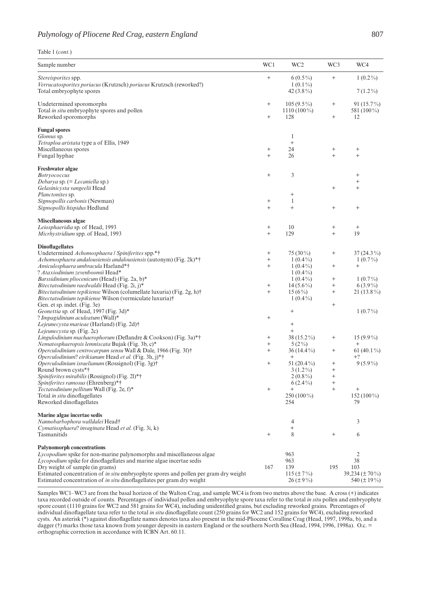|  | Table 1 (cont.) |  |
|--|-----------------|--|
|  |                 |  |

| Sample number                                                                                                                                                         | WC1              | WC <sub>2</sub>                          | WC3                | WC4                                     |
|-----------------------------------------------------------------------------------------------------------------------------------------------------------------------|------------------|------------------------------------------|--------------------|-----------------------------------------|
| Stereisporites spp.<br>Verrucatosporites poriacus (Krutzsch) poriacus Krutzsch (reworked?)<br>Total embryophyte spores                                                | $^{+}$           | $6(0.5\%)$<br>$1(0.1\%)$<br>42 $(3.8\%)$ | $^{+}$             | $1(0.2\%)$<br>$7(1.2\%)$                |
|                                                                                                                                                                       | $^{+}$           | $105(9.5\%)$                             |                    | $91(15.7\%)$                            |
| Undetermined sporomorphs<br>Total in situ embryophyte spores and pollen                                                                                               |                  | $1110(100\%)$                            | $^{+}$             | 581 (100%)                              |
| Reworked sporomorphs                                                                                                                                                  | $^{+}$           | 128                                      | $^{+}$             | 12                                      |
| <b>Fungal spores</b>                                                                                                                                                  |                  |                                          |                    |                                         |
| Glomus sp.                                                                                                                                                            |                  | 1                                        |                    |                                         |
| Tetraploa aristata type a of Ellis, 1949                                                                                                                              |                  | $^{+}$                                   |                    |                                         |
| Miscellaneous spores<br>Fungal hyphae                                                                                                                                 | $^{+}$<br>$^{+}$ | 24<br>26                                 | $^{+}$<br>$^{+}$   | $^{+}$<br>$^{+}$                        |
|                                                                                                                                                                       |                  |                                          |                    |                                         |
| Freshwater algae<br><b>Botryococcus</b>                                                                                                                               | $^{+}$           | 3                                        |                    | $^{+}$                                  |
| Debarya sp. (= Lecaniella sp.)                                                                                                                                        |                  |                                          |                    | $\qquad \qquad +$                       |
| Gelasinicysta vangeelii Head                                                                                                                                          |                  |                                          | $^{+}$             | $^{+}$                                  |
| Planctonites sp.                                                                                                                                                      |                  | $^{+}$                                   |                    |                                         |
| Sigmopollis carbonis (Newman)                                                                                                                                         | $^{+}$           | 1                                        |                    |                                         |
| Sigmopollis hispidus Hedlund                                                                                                                                          | $^{+}$           | $^{+}$                                   | $^{+}$             | $^{+}$                                  |
| Miscellaneous algae                                                                                                                                                   |                  |                                          |                    |                                         |
| Leiosphaeridia sp. of Head, 1993<br>Micrhystridium spp. of Head, 1993                                                                                                 | $^{+}$<br>$^{+}$ | 10<br>129                                | $^{+}$<br>$^{+}$   | $^{+}$<br>19                            |
| <b>Dinoflagellates</b>                                                                                                                                                |                  |                                          |                    |                                         |
| Undetermined Achomosphaera / Spiniferites spp.*†                                                                                                                      | $^{+}$           | $75(30\%)$                               | $^{+}$             | $37(24.3\%)$                            |
| Achomosphaera andalousiensis andalousiensis (autonym) (Fig. 2k)*†                                                                                                     | $^{+}$           | $1(0.4\%)$                               |                    | $1(0.7\%)$                              |
| Amiculosphaera umbracula Harland*†                                                                                                                                    | $^{+}$           | $1(0.4\%)$                               | $^{+}$             | $^{+}$                                  |
| ? Ataxiodinium zevenboomii Head*                                                                                                                                      |                  | $1(0.4\%)$                               |                    |                                         |
| Barssidinium pliocenicum (Head) (Fig. 2a, b)*                                                                                                                         |                  | $1(0.4\%)$                               | $^{+}$             | $1(0.7\%)$                              |
| Bitectatodinium raedwaldii Head (Fig. 2i, j)*                                                                                                                         | $^{+}$           | $14(5.6\%)$                              | $^{+}$             | $6(3.9\%)$                              |
| <i>Bitectatodinium tepikiense</i> Wilson (columellate luxuria) (Fig. 2g, h) <sup>†</sup>                                                                              | $^{+}$           | $15(6\%)$                                | $^{+}$             | $21(13.8\%)$                            |
| Bitectatodinium tepikiense Wilson (vermiculate luxuria)†<br>Gen. et sp. indet. (Fig. 3e)                                                                              |                  | $1(0.4\%)$                               | $^{+}$             |                                         |
| Geonettia sp. of Head, 1997 (Fig. 3d)*                                                                                                                                |                  | $^{+}$                                   |                    | $1(0.7\%)$                              |
| ? Impagidinium aculeatum (Wall)*                                                                                                                                      | $^{+}$           |                                          |                    |                                         |
| Lejeunecysta marieae (Harland) (Fig. 2d)†                                                                                                                             |                  | $^{+}$                                   |                    |                                         |
| Lejeunecysta sp. (Fig. 2c)                                                                                                                                            |                  | $\qquad \qquad +$                        |                    |                                         |
| Lingulodinium machaerophorum (Deflandre & Cookson) (Fig. 3a)*†                                                                                                        | $^{+}$           | $38(15.2\%)$                             | $^{+}$             | $15(9.9\%)$                             |
| Nematosphaeropsis lemniscata Bujak (Fig. 3b, c)*                                                                                                                      | $^{+}$           | $5(2\%)$                                 |                    | $\! + \!\!\!\!$                         |
| Operculodinium centrocarpum sensu Wall & Dale, 1966 (Fig. 3f) <sup>†</sup><br>Operculodinium? eirikianum Head et al. (Fig. 3h, j)*†                                   | $^{+}$           | $36(14.4\%)$<br>$^{+}$                   | $^{+}$             | 61 $(40.1\%)$<br>$+?$                   |
| Operculodinium israelianum (Rossignol) (Fig. 3g)†                                                                                                                     | $^{+}$           | 51 $(20.4\%)$                            | $^{+}$             | $9(5.9\%)$                              |
| Round brown cysts*†                                                                                                                                                   |                  | $3(1.2\%)$                               | $\hskip 0.025cm +$ |                                         |
| Spiniferites mirabilis (Rossignol) (Fig. 21)*†                                                                                                                        |                  | $2(0.8\%)$                               | $^{+}$             |                                         |
| Spiniferites ramosus (Ehrenberg)*†                                                                                                                                    |                  | $6(2.4\%)$                               | $^{+}$             |                                         |
| Tectatodinium pellitum Wall (Fig. 2e, f)*                                                                                                                             | $^{+}$           | $^{+}$                                   | $^{+}$             | $^{+}$                                  |
| Total in situ dinoflagellates                                                                                                                                         |                  | $250(100\%)$                             |                    | $152(100\%)$                            |
| Reworked dinoflagellates                                                                                                                                              |                  | 254                                      |                    | 79                                      |
| Marine algae incertae sedis                                                                                                                                           |                  |                                          |                    |                                         |
| Nannobarbophora walldalei Head+<br>Cymatiosphaera? invaginata Head et al. (Fig. 3i, k)                                                                                |                  | 4<br>$^{+}$                              |                    | 3                                       |
| Tasmanitids                                                                                                                                                           | $^{+}$           | 8                                        | $^{+}$             | 6                                       |
| Palynomorph concentrations                                                                                                                                            |                  |                                          |                    |                                         |
| Lycopodium spike for non-marine palynomorphs and miscellaneous algae                                                                                                  |                  | 963                                      |                    | 2                                       |
| Lycopodium spike for dinoflagellates and marine algae incertae sedis                                                                                                  |                  | 963                                      |                    | 38                                      |
| Dry weight of sample (in grams)                                                                                                                                       | 167              | 139                                      | 195                | 103                                     |
| Estimated concentration of <i>in situ</i> embryophyte spores and pollen per gram dry weight<br>Estimated concentration of in situ dinoflagellates per gram dry weight |                  | $115 (\pm 7\%)$<br>$26 (\pm 9\%)$        |                    | $39,234 (\pm 70\%)$<br>540 $(\pm 19\%)$ |

Samples WC1–WC3 are from the basal horizon of the Walton Crag, and sample WC4 is from two metres above the base. A cross (+) indicates taxa recorded outside of counts. Percentages of individual pollen and embryophyte spore taxa refer to the total *in situ* pollen and embryophyte spore count (1110 grains for WC2 and 581 grains for WC4), including unidentified grains, but excluding reworked grains. Percentages of individual dinoflagellate taxa refer to the total *in situ* dinoflagellate count (250 grains for WC2 and 152 grains for WC4), excluding reworked cysts. An asterisk (\*) against dinoflagellate names denotes taxa also present in the mid-Pliocene Coralline Crag (Head, 1997, 1998a, b), and a dagger (†) marks those taxa known from younger deposits in eastern England or the southern North Sea (Head, 1994, 1996, 1998a). O.c. = orthographic correction in accordance with ICBN Art. 60.11.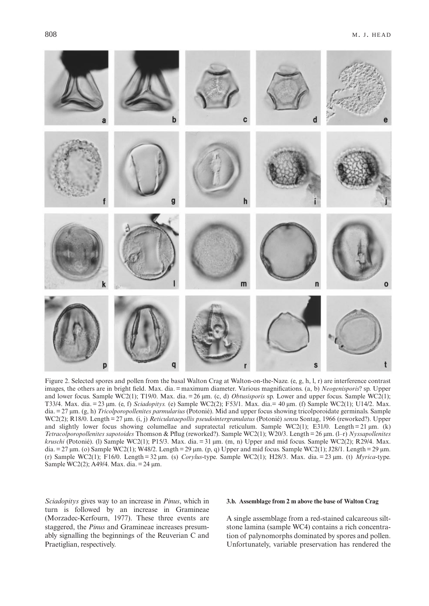

Figure 2. Selected spores and pollen from the basal Walton Crag at Walton-on-the-Naze. (e, g, h, l, r) are interference contrast images, the others are in bright field. Max. dia. = maximum diameter. Various magnifications. (a, b) *Neogenisporis*? sp. Upper and lower focus. Sample WC2(1); T19/0. Max. dia. = 26 µm. (c, d) *Obtusisporis* sp. Lower and upper focus. Sample WC2(1); T33/4. Max. dia. = 23 µm. (e, f) *Sciadopitys.* (e) Sample WC2(2); F53/1. Max. dia.= 40 µm. (f) Sample WC2(1); U14/2. Max. dia. = 27 µm. (g, h) *Tricolporopollenites parmularius* (Potonié). Mid and upper focus showing tricolporoidate germinals. Sample WC2(2); R18/0. Length = 27 µm. (i, j) *Reticulataepollis pseudointergranulatus* (Potonié) *sensu* Sontag, 1966 (reworked?). Upper and slightly lower focus showing columellae and supratectal reticulum. Sample WC2(1); E31/0. Length = 21  $\mu$ m. (k) *Tetracolporopollenites sapotoides* Thomson & Pflug (reworked?). Sample WC2(1); W20/3. Length = 26 µm. (l–r) *Nyssapollenites kruschi* (Potonié). (l) Sample WC2(1); P15/3. Max. dia. = 31 µm. (m, n) Upper and mid focus. Sample WC2(2); R29/4. Max. dia. = 27 µm. (o) Sample WC2(1); W48/2. Length = 29 µm. (p, q) Upper and mid focus. Sample WC2(1); J28/1. Length = 29 µm. (r) Sample WC2(1); F16/0. Length = 32 µm. (s) *Corylus*-type. Sample WC2(1); H28/3. Max. dia. = 23 µm. (t) *Myrica*-type. Sample WC2(2); A49/4. Max. dia. = 24 µm.

*Sciadopitys* gives way to an increase in *Pinus*, which in turn is followed by an increase in Gramineae (Morzadec-Kerfourn, 1977). These three events are staggered, the *Pinus* and Gramineae increases presumably signalling the beginnings of the Reuverian C and Praetiglian, respectively.

# **3.b. Assemblage from 2 m above the base of Walton Crag**

A single assemblage from a red-stained calcareous siltstone lamina (sample WC4) contains a rich concentration of palynomorphs dominated by spores and pollen. Unfortunately, variable preservation has rendered the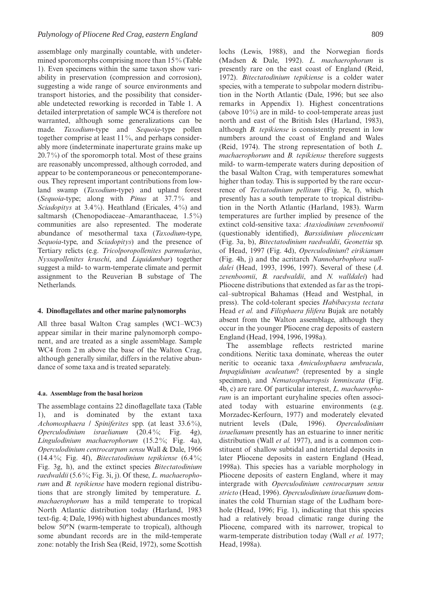assemblage only marginally countable, with undetermined sporomorphs comprising more than 15% (Table 1). Even specimens within the same taxon show variability in preservation (compression and corrosion), suggesting a wide range of source environments and transport histories, and the possibility that considerable undetected reworking is recorded in Table 1. A detailed interpretation of sample WC4 is therefore not warranted, although some generalizations can be made. *Taxodium*-type and *Sequoia*-type pollen together comprise at least 11%, and perhaps considerably more (indeterminate inaperturate grains make up  $20.7\%$ ) of the sporomorph total. Most of these grains are reasonably uncompressed, although corroded, and appear to be contemporaneous or penecontemporaneous. They represent important contributions from lowland swamp (*Taxodium*-type) and upland forest (*Sequoia*-type; along with *Pinus* at 37.7 % and *Sciadopitys* at 3.4%). Heathland (Ericales, 4%) and saltmarsh (Chenopodiaceae–Amaranthaceae, 1.5%) communities are also represented. The moderate abundance of mesothermal taxa (*Taxodium*-type, *Sequoia*-type, and *Sciadopitys*) and the presence of Tertiary relicts (e.g. *Tricolporopollenites parmularius*, *Nyssapollenites kruschi*, and *Liquidambar*) together suggest a mild- to warm-temperate climate and permit assignment to the Reuverian B substage of The Netherlands.

## **4. Dinoflagellates and other marine palynomorphs**

All three basal Walton Crag samples (WC1–WC3) appear similar in their marine palynomorph component, and are treated as a single assemblage. Sample WC4 from 2 m above the base of the Walton Crag, although generally similar, differs in the relative abundance of some taxa and is treated separately.

#### **4.a. Assemblage from the basal horizon**

The assemblage contains 22 dinoflagellate taxa (Table 1), and is dominated by the extant taxa *Achomosphaera / Spiniferites* spp. (at least 33.6 %), *Operculodinium israelianum* (20.4 %; Fig. 4g), *Lingulodinium machaerophorum* (15.2 %; Fig. 4a), *Operculodinium centrocarpum sensu* Wall & Dale, 1966 (14.4 %; Fig. 4f), *Bitectatodinium tepikiense* (6.4 %; Fig. 3g, h), and the extinct species *Bitectatodinium raedwaldii* (5.6 %; Fig. 3i, j). Of these, *L. machaerophorum* and *B. tepikiense* have modern regional distributions that are strongly limited by temperature. *L. machaerophorum* has a mild temperate to tropical North Atlantic distribution today (Harland, 1983 text-fig. 4; Dale, 1996) with highest abundances mostly below 50°N (warm-temperate to tropical), although some abundant records are in the mild-temperate zone: notably the Irish Sea (Reid, 1972), some Scottish lochs (Lewis, 1988), and the Norwegian fiords (Madsen & Dale, 1992). *L. machaerophorum* is presently rare on the east coast of England (Reid, 1972). *Bitectatodinium tepikiense* is a colder water species, with a temperate to subpolar modern distribution in the North Atlantic (Dale, 1996; but see also remarks in Appendix 1). Highest concentrations (above  $10\%$ ) are in mild- to cool-temperate areas just north and east of the British Isles (Harland, 1983), although *B. tepikiense* is consistently present in low numbers around the coast of England and Wales (Reid, 1974). The strong representation of both *L. machaerophorum* and *B. tepikiense* therefore suggests mild- to warm-temperate waters during deposition of the basal Walton Crag, with temperatures somewhat higher than today. This is supported by the rare occurrence of *Tectatodinium pellitum* (Fig. 3e, f), which presently has a south temperate to tropical distribution in the North Atlantic (Harland, 1983). Warm temperatures are further implied by presence of the extinct cold-sensitive taxa: *Ataxiodinium zevenboomii* (questionably identified), *Barssidinium pliocenicum* (Fig. 3a, b), *Bitectatodinium raedwaldii*, *Geonettia* sp. of Head, 1997 (Fig. 4d), *Operculodinium*? *eirikianum* (Fig. 4h, j) and the acritarch *Nannobarbophora walldalei* (Head, 1993, 1996, 1997). Several of these (*A. zevenboomii*, *B. raedwaldii*, and *N. walldalei*) had Pliocene distributions that extended as far as the tropical–subtropical Bahamas (Head and Westphal, in press). The cold-tolerant species *Habibacysta tectata* Head *et al.* and *Filisphaera filifera* Bujak are notably absent from the Walton assemblage, although they occur in the younger Pliocene crag deposits of eastern England (Head, 1994, 1996, 1998a).

The assemblage reflects restricted marine conditions. Neritic taxa dominate, whereas the outer neritic to oceanic taxa *Amiculosphaera umbracula*, *Impagidinium aculeatum*? (represented by a single specimen), and *Nematosphaeropsis lemniscata* (Fig. 4b, c) are rare. Of particular interest, *L. machaerophorum* is an important euryhaline species often associated today with estuarine environments (e.g. Morzadec-Kerfourn, 1977) and moderately elevated nutrient levels (Dale, 1996). *Operculodinium israelianum* presently has an estuarine to inner neritic distribution (Wall *et al.* 1977), and is a common constituent of shallow subtidal and intertidal deposits in later Pliocene deposits in eastern England (Head, 1998a). This species has a variable morphology in Pliocene deposits of eastern England, where it may intergrade with *Operculodinium centrocarpum sensu stricto* (Head, 1996). *Operculodinium israelianum* dominates the cold Thurnian stage of the Ludham borehole (Head, 1996; Fig. 1), indicating that this species had a relatively broad climatic range during the Pliocene, compared with its narrower, tropical to warm-temperate distribution today (Wall *et al.* 1977; Head, 1998a).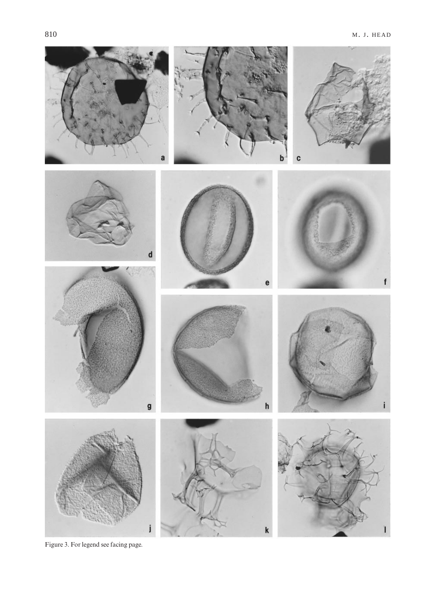

Figure 3. For legend see facing page.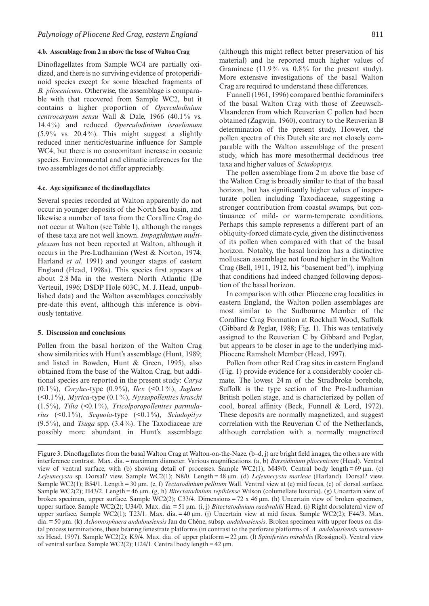#### **4.b. Assemblage from 2 m above the base of Walton Crag**

Dinoflagellates from Sample WC4 are partially oxidized, and there is no surviving evidence of protoperidinoid species except for some bleached fragments of *B. pliocenicum*. Otherwise, the assemblage is comparable with that recovered from Sample WC2, but it contains a higher proportion of *Operculodinium centrocarpum sensu* Wall & Dale, 1966 (40.1% vs. 14.4 %) and reduced *Operculodinium israelianum*  $(5.9\%$  vs.  $20.4\%$ ). This might suggest a slightly reduced inner neritic/estuarine influence for Sample WC4, but there is no concomitant increase in oceanic species. Environmental and climatic inferences for the two assemblages do not differ appreciably.

#### **4.c. Age significance of the dinoflagellates**

Several species recorded at Walton apparently do not occur in younger deposits of the North Sea basin, and likewise a number of taxa from the Coralline Crag do not occur at Walton (see Table 1), although the ranges of these taxa are not well known. *Impagidinium multiplexum* has not been reported at Walton, although it occurs in the Pre-Ludhamian (West & Norton, 1974; Harland *et al.* 1991) and younger stages of eastern England (Head, 1998a). This species first appears at about 2.8 Ma in the western North Atlantic (De Verteuil, 1996; DSDP Hole 603C, M. J. Head, unpublished data) and the Walton assemblages conceivably pre-date this event, although this inference is obviously tentative.

## **5. Discussion and conclusions**

Pollen from the basal horizon of the Walton Crag show similarities with Hunt's assemblage (Hunt, 1989; and listed in Bowden, Hunt & Green, 1995), also obtained from the base of the Walton Crag, but additional species are reported in the present study: *Carya* (0.1 %), *Corylus*-type (0.9 %), *Ilex* (<0.1 %), *Juglans* (<0.1 %), *Myrica*-type (0.1 %), *Nyssapollenites kruschi* (1.5 %), *Tilia* (<0.1 %), *Tricolporopollenites parmularius* (<0.1 %), *Sequoia*-type (<0.1 %), *Sciadopitys* (9.5 %), and *Tsuga* spp. (3.4 %). The Taxodiaceae are possibly more abundant in Hunt's assemblage (although this might reflect better preservation of his material) and he reported much higher values of Gramineae  $(11.9\%$  vs.  $0.8\%$  for the present study). More extensive investigations of the basal Walton Crag are required to understand these differences.

Funnell (1961, 1996) compared benthic foraminifers of the basal Walton Crag with those of Zeeuwsch-Vlaanderen from which Reuverian C pollen had been obtained (Zagwijn, 1960), contrary to the Reuverian B determination of the present study. However, the pollen spectra of this Dutch site are not closely comparable with the Walton assemblage of the present study, which has more mesothermal deciduous tree taxa and higher values of *Sciadopitys*.

The pollen assemblage from 2 m above the base of the Walton Crag is broadly similar to that of the basal horizon, but has significantly higher values of inaperturate pollen including Taxodiaceae, suggesting a stronger contribution from coastal swamps, but continuance of mild- or warm-temperate conditions. Perhaps this sample represents a different part of an obliquity-forced climate cycle, given the distinctiveness of its pollen when compared with that of the basal horizon. Notably, the basal horizon has a distinctive molluscan assemblage not found higher in the Walton Crag (Bell, 1911, 1912, his "basement bed"), implying that conditions had indeed changed following deposition of the basal horizon.

In comparison with other Pliocene crag localities in eastern England, the Walton pollen assemblages are most similar to the Sudbourne Member of the Coralline Crag Formation at Rockhall Wood, Suffolk (Gibbard & Peglar, 1988; Fig. 1). This was tentatively assigned to the Reuverian C by Gibbard and Peglar, but appears to be closer in age to the underlying mid-Pliocene Ramsholt Member (Head, 1997).

Pollen from other Red Crag sites in eastern England (Fig. 1) provide evidence for a considerably cooler climate. The lowest 24 m of the Stradbroke borehole, Suffolk is the type section of the Pre-Ludhamian British pollen stage, and is characterized by pollen of cool, boreal affinity (Beck, Funnell & Lord, 1972). These deposits are normally magnetized, and suggest correlation with the Reuverian C of the Netherlands, although correlation with a normally magnetized

Figure 3. Dinoflagellates from the basal Walton Crag at Walton-on-the-Naze. (b–d, j) are bright field images, the others are with interference contrast. Max. dia. = maximum diameter. Various magnifications. (a, b) *Barssidinium pliocenicum* (Head). Ventral view of ventral surface, with (b) showing detail of processes. Sample WC2(1); M49/0. Central body length = 69  $\mu$ m. (c) *Lejeunecysta* sp. Dorsal? view. Sample WC2(1); N8/0. Length = 48 µm. (d) *Lejeunecysta marieae* (Harland). Dorsal? view. Sample WC2(1); B54/1. Length = 30 µm. (e, f) *Tectatodinium pellitum* Wall. Ventral view at (e) mid focus, (c) of dorsal surface. Sample WC2(2); H43/2. Length = 46 µm. (g, h) *Bitectatodinium tepikiense* Wilson (columellate luxuria). (g) Uncertain view of broken specimen, upper surface. Sample WC2(2); C33/4. Dimensions = 72 x 46 µm. (h) Uncertain view of broken specimen, upper surface. Sample WC2(2); U34/0. Max. dia. = 51 µm. (i, j) *Bitectatodinium raedwaldii* Head. (i) Right dorsolateral view of upper surface. Sample WC2(1); T23/1. Max. dia. = 40 µm. (j) Uncertain view at mid focus. Sample WC2(2); F44/3. Max. dia. = 50 µm. (k) *Achomosphaera andalousiensis* Jan du Chêne, subsp. *andalousiensis*. Broken specimen with upper focus on distal process terminations, these bearing fenestrate platforms (in contrast to the perforate platforms of *A. andalousiensis suttonensis* Head, 1997). Sample WC2(2); K9/4. Max. dia. of upper platform = 22 µm. (l) *Spiniferites mirabilis* (Rossignol). Ventral view of ventral surface. Sample WC2(2); U24/1. Central body length =  $42 \mu m$ .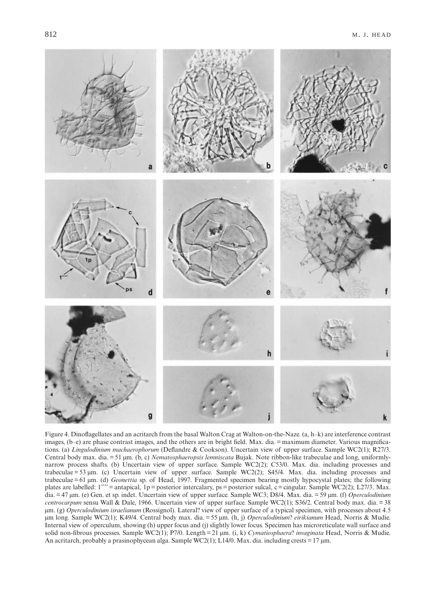

Figure 4. Dinoflagellates and an acritarch from the basal Walton Crag at Walton-on-the-Naze. (a, h–k) are interference contrast images, (b–e) are phase contrast images, and the others are in bright field. Max. dia. = maximum diameter. Various magnifications. (a) *Lingulodinium machaerophorum* (Deflandre & Cookson). Uncertain view of upper surface. Sample WC2(1); R27/3. Central body max. dia. = 51 µm. (b, c) *Nematosphaeropsis lemniscata* Bujak. Note ribbon-like trabeculae and long, uniformlynarrow process shafts. (b) Uncertain view of upper surface. Sample WC2(2); C53/0. Max. dia. including processes and trabeculae = 53 µm. (c) Uncertain view of upper surface. Sample WC2(2); S45/4. Max. dia. including processes and trabeculae = 61 µm. (d) *Geonettia* sp. of Head, 1997. Fragmented specimen bearing mostly hypocystal plates; the following plates are labelled:  $1^{''''}$  = antapical, 1p = posterior intercalary, ps = posterior sulcal, c = cingular. Sample WC2(2); L27/3. Max. dia. = 47 µm. (e) Gen. et sp. indet. Uncertain view of upper surface. Sample WC3; D8/4. Max. dia. = 59 µm. (f) *Operculodinium centrocarpum* sensu Wall & Dale, 1966. Uncertain view of upper surface. Sample WC2(1); S36/2. Central body max. dia. = 38 µm. (g) *Operculodinium israelianum* (Rossignol). Lateral? view of upper surface of a typical specimen, with processes about 4.5 µm long. Sample WC2(1); K49/4. Central body max. dia. = 55 µm. (h, j) *Operculodinium*? *eirikianum* Head, Norris & Mudie. Internal view of operculum, showing (h) upper focus and (j) slightly lower focus. Specimen has microreticulate wall surface and solid non-fibrous processes. Sample WC2(1); P7/0. Length = 21 µm. (i, k) *Cymatiosphaera*? *invaginata* Head, Norris & Mudie. An acritarch, probably a prasinophycean alga. Sample WC2(1); L14/0. Max. dia. including crests =  $17 \mu m$ .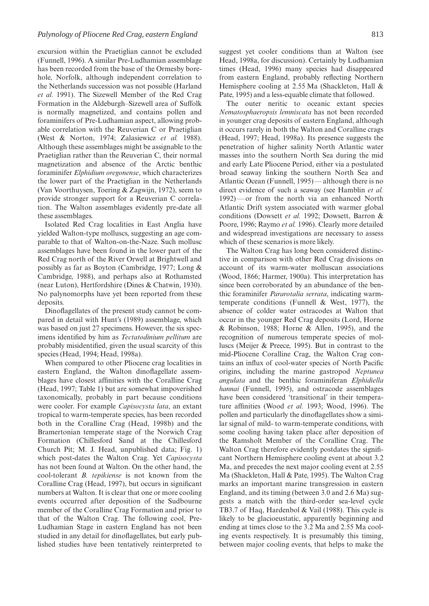excursion within the Praetiglian cannot be excluded (Funnell, 1996). A similar Pre-Ludhamian assemblage has been recorded from the base of the Ormesby borehole, Norfolk, although independent correlation to the Netherlands succession was not possible (Harland *et al.* 1991). The Sizewell Member of the Red Crag Formation in the Aldeburgh–Sizewell area of Suffolk is normally magnetized, and contains pollen and foraminifers of Pre-Ludhamian aspect, allowing probable correlation with the Reuverian C or Praetiglian (West & Norton, 1974; Zalasiewicz *et al.* 1988). Although these assemblages might be assignable to the Praetiglian rather than the Reuverian C, their normal magnetization and absence of the Arctic benthic foraminifer *Elphidium oregonense*, which characterizes the lower part of the Praetiglian in the Netherlands (Van Voorthuysen, Toering & Zagwijn, 1972), seem to provide stronger support for a Reuverian C correlation. The Walton assemblages evidently pre-date all these assemblages.

Isolated Red Crag localities in East Anglia have yielded Walton-type molluscs, suggesting an age comparable to that of Walton-on-the-Naze. Such mollusc assemblages have been found in the lower part of the Red Crag north of the River Orwell at Brightwell and possibly as far as Boyton (Cambridge, 1977; Long & Cambridge, 1988), and perhaps also at Rothamsted (near Luton), Hertfordshire (Dines & Chatwin, 1930). No palynomorphs have yet been reported from these deposits.

Dinoflagellates of the present study cannot be compared in detail with Hunt's (1989) assemblage, which was based on just 27 specimens. However, the six specimens identified by him as *Tectatodinium pellitum* are probably misidentified, given the usual scarcity of this species (Head, 1994; Head, 1998a).

When compared to other Pliocene crag localities in eastern England, the Walton dinoflagellate assemblages have closest affinities with the Coralline Crag (Head, 1997; Table 1) but are somewhat impoverished taxonomically, probably in part because conditions were cooler. For example *Capisocysta lata*, an extant tropical to warm-temperate species, has been recorded both in the Coralline Crag (Head, 1998b) and the Bramertonian temperate stage of the Norwich Crag Formation (Chillesford Sand at the Chillesford Church Pit; M. J. Head, unpublished data; Fig. 1) which post-dates the Walton Crag. Yet *Capisocysta* has not been found at Walton. On the other hand, the cool-tolerant *B. tepikiense* is not known from the Coralline Crag (Head, 1997), but occurs in significant numbers at Walton. It is clear that one or more cooling events occurred after deposition of the Sudbourne member of the Coralline Crag Formation and prior to that of the Walton Crag. The following cool, Pre-Ludhamian Stage in eastern England has not been studied in any detail for dinoflagellates, but early published studies have been tentatively reinterpreted to suggest yet cooler conditions than at Walton (see Head, 1998a, for discussion). Certainly by Ludhamian times (Head, 1996) many species had disappeared from eastern England, probably reflecting Northern Hemisphere cooling at 2.55 Ma (Shackleton, Hall & Pate, 1995) and a less-equable climate that followed.

The outer neritic to oceanic extant species *Nematosphaeropsis lemniscata* has not been recorded in younger crag deposits of eastern England, although it occurs rarely in both the Walton and Coralline crags (Head, 1997; Head, 1998a). Its presence suggests the penetration of higher salinity North Atlantic water masses into the southern North Sea during the mid and early Late Pliocene Period, either via a postulated broad seaway linking the southern North Sea and Atlantic Ocean (Funnell, 1995) — although there is no direct evidence of such a seaway (see Hamblin *et al.* 1992) — or from the north via an enhanced North Atlantic Drift system associated with warmer global conditions (Dowsett *et al.* 1992; Dowsett, Barron & Poore, 1996; Raymo *et al.* 1996). Clearly more detailed and widespread investigations are necessary to assess which of these scenarios is more likely.

The Walton Crag has long been considered distinctive in comparison with other Red Crag divisions on account of its warm-water molluscan associations (Wood, 1866; Harmer, 1900a). This interpretation has since been corroborated by an abundance of the benthic foraminifer *Pararotalia serrata*, indicating warmtemperate conditions (Funnell & West, 1977), the absence of colder water ostracodes at Walton that occur in the younger Red Crag deposits (Lord, Horne & Robinson, 1988; Horne & Allen, 1995), and the recognition of numerous temperate species of molluscs (Meijer & Preece, 1995). But in contrast to the mid-Pliocene Coralline Crag, the Walton Crag contains an influx of cool-water species of North Pacific origins, including the marine gastropod *Neptunea angulata* and the benthic foraminiferan *Elphidiella hannai* (Funnell, 1995), and ostracode assemblages have been considered 'transitional' in their temperature affinities (Wood *et al.* 1993; Wood, 1996). The pollen and particularly the dinoflagellates show a similar signal of mild- to warm-temperate conditions, with some cooling having taken place after deposition of the Ramsholt Member of the Coralline Crag. The Walton Crag therefore evidently postdates the significant Northern Hemisphere cooling event at about 3.2 Ma, and precedes the next major cooling event at 2.55 Ma (Shackleton, Hall & Pate, 1995). The Walton Crag marks an important marine transgression in eastern England, and its timing (between 3.0 and 2.6 Ma) suggests a match with the third-order sea-level cycle TB3.7 of Haq, Hardenbol & Vail (1988). This cycle is likely to be glacioeustatic, apparently beginning and ending at times close to the 3.2 Ma and 2.55 Ma cooling events respectively. It is presumably this timing, between major cooling events, that helps to make the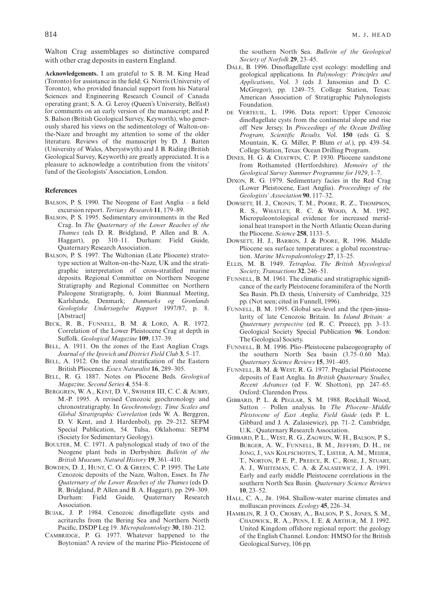Walton Crag assemblages so distinctive compared with other crag deposits in eastern England.

**Acknowledgements.** I am grateful to S. B. M. King Head (Toronto) for assistance in the field; G. Norris (University of Toronto), who provided financial support from his Natural Sciences and Engineering Research Council of Canada operating grant; S. A. G. Leroy (Queen's University, Belfast) for comments on an early version of the manuscript; and P. S. Balson (British Geological Survey, Keyworth), who generously shared his views on the sedimentology of Walton-onthe-Naze and brought my attention to some of the older literature. Reviews of the manuscript by D. J. Batten (University of Wales, Aberystwyth) and J. B. Riding (British Geological Survey, Keyworth) are greatly appreciated. It is a pleasure to acknowledge a contribution from the visitors' fund of the Geologists' Association, London.

#### **References**

- BALSON, P. S. 1990. The Neogene of East Anglia a field excursion report. *Tertiary Research* **11**, 179–89.
- BALSON, P. S. 1995. Sedimentary environments in the Red Crag. In *The Quaternary of the Lower Reaches of the Thames* (eds D. R. Bridgland, P. Allen and B. A. Haggart), pp. 310–11. Durham: Field Guide, Quaternary Research Association.
- BALSON, P. S. 1997. The Waltonian (Late Pliocene) stratotype section at Walton-on-the-Naze, UK and the stratigraphic interpretation of cross-stratified marine deposits. Regional Committee on Northern Neogene Stratigraphy and Regional Committee on Northern Paleogene Stratigraphy, 6, Joint Biannual Meeting, Karlslunde, Denmark; *Danmarks og Grønlands Geologiske Undersøgelse Rapport* 1997/87, p. 8. [Abstract]
- BECK, R. B., FUNNELL, B. M. & LORD, A. R. 1972. Correlation of the Lower Pleistocene Crag at depth in Suffolk. *Geological Magazine* **109**, 137–39.
- BELL, A. 1911. On the zones of the East Anglian Crags. *Journal of the Ipswich and District Field Club* **3**, 5–17.
- BELL, A. 1912. On the zonal stratification of the Eastern British Pliocenes. *Essex Naturalist* **16**, 289–305.
- BELL, R. G. 1887. Notes on Pliocene Beds. *Geological Magazine, Second Series* **4**, 554–8.
- BERGGREN, W. A., KENT, D. V., SWISHER III, C. C. & AUBRY, M.-P. 1995. A revised Cenozoic geochronology and chronostratigraphy. In *Geochronology, Time Scales and Global Stratigraphic Correlation* (eds W. A. Berggren, D. V. Kent, and J. Hardenbol), pp. 29–212. SEPM Special Publication, 54. Tulsa, Oklahoma: SEPM (Society for Sedimentary Geology).
- BOULTER, M. C. 1971. A palynological study of two of the Neogene plant beds in Derbyshire. *Bulletin of the British Museum, Natural History* **19**, 361–410.
- BOWDEN, D. J., HUNT, C. O. & GREEN, C. P. 1995. The Late Cenozoic deposits of the Naze, Walton, Essex. In *The Quaternary of the Lower Reaches of the Thames* (eds D. R. Bridgland, P. Allen and B. A. Haggart), pp. 299–309. Durham: Field Guide, Quaternary Research Association.
- BUJAK, J. P. 1984. Cenozoic dinoflagellate cysts and acritarchs from the Bering Sea and Northern North Pacific, DSDP Leg 19. *Micropaleontology* **30**, 180–212.
- CAMBRIDGE, P. G. 1977. Whatever happened to the Boytonian? A review of the marine Plio–Pleistocene of

the southern North Sea. *Bulletin of the Geological Society of Norfolk* **29**, 23–45.

- DALE, B. 1996. Dinoflagellate cyst ecology: modelling and geological applications. In *Palynology: Principles and Applications*, Vol. 3 (eds J. Jansonius and D. C. McGregor), pp. 1249–75. College Station, Texas: American Association of Stratigraphic Palynologists Foundation.
- DE VERTEUIL, L. 1996. Data report: Upper Cenozoic dinoflagellate cysts from the continental slope and rise off New Jersey. In *Proceedings of the Ocean Drilling Program, Scientific Results,* Vol. **150** (eds G. S. Mountain, K. G. Miller, P. Blum *et al*.), pp. 439–54. College Station, Texas: Ocean Drilling Program.
- DINES, H. G. & CHATWIN, C. P. 1930. Pliocene sandstone from Rothamsted (Hertfordshire). *Memoirs of the Geological Survey Summer Programme for 1929*, 1–7.
- DIXON, R. G. 1979. Sedimentary facies in the Red Crag (Lower Pleistocene, East Anglia). *Proceedings of the Geologists' Association* **90**, 117–32.
- DOWSETT, H. J., CRONIN, T. M., POORE, R. Z., THOMPSON, R. S., WHATLEY, R. C. & WOOD, A. M. 1992. Micropaleontological evidence for increased meridional heat transport in the North Atlantic Ocean during the Pliocene. *Science* **258**, 1133–5.
- DOWSETT, H. J., BARRON, J. & POORE, R. 1996. Middle Pliocene sea surface temperatures: a global reconstruction. *Marine Micropaleontology* **27**, 13–25.
- ELLIS, M. B. 1949. *Tetraploa*. *The British Mycological Society, Transactions* **32**, 246–51.
- FUNNELL, B. M. 1961. The climatic and stratigraphic significance of the early Pleistocene foraminifera of the North Sea Basin. Ph.D. thesis, University of Cambridge, 325 pp. (Not seen; cited in Funnell, 1996).
- FUNNELL, B. M. 1995. Global sea-level and the (pen-)insularity of late Cenozoic Britain. In *Island Britain: a Quaternary perspective* (ed R. C. Preece), pp. 3–13. Geological Society Special Publication **96**. London: The Geological Society.
- FUNNELL, B. M. 1996. Plio–Pleistocene palaeogeography of the southern North Sea basin (3.75–0.60 Ma). *Quaternary Science Reviews* **15**, 391–405.
- FUNNELL, B. M. & WEST, R. G. 1977. Preglacial Pleistocene deposits of East Anglia. In *British Quaternary Studies, Recent Advances* (ed F. W. Shotton), pp. 247–65. Oxford: Clarendon Press.
- GIBBARD, P. L. & PEGLAR, S. M. 1988. Rockhall Wood, Sutton – Pollen analysis. In *The Pliocene–Middle Pleistocene of East Anglia, Field Guide* (eds P. L. Gibbard and J. A. Zalasiewicz), pp. 71–2. Cambridge, U.K.: Quaternary Research Association.
- GIBBARD, P. L., WEST, R. G., ZAGWIJN, W. H., BALSON, P. S., BURGER, A. W., FUNNELL, B. M., JEFFERY, D. H., DE JONG, J., VAN KOLFSCHOTEN, T., LISTER, A. M., MEIJER, T., NORTON, P. E. P., PREECE, R. C., ROSE, J., STUART, A. J., WHITEMAN, C. A. & ZALASIEWICZ, J. A. 1991. Early and early middle Pleistocene correlations in the southern North Sea Basin. *Quaternary Science Reviews* **10**, 23–52.
- HALL, C. A., JR. 1964. Shallow-water marine climates and molluscan provinces. *Ecology* **45**, 226–34.
- HAMBLIN, R. J. O., CROSBY, A., BALSON, P. S., JONES, S. M., CHADWICK, R. A., PENN, I. E. & ARTHUR, M. J. 1992. United Kingdom offshore regional report: the geology of the English Channel. London: HMSO for the British Geological Survey, 106 pp.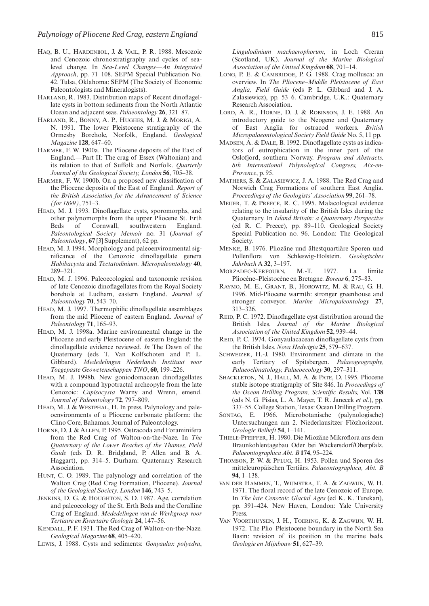- HAQ, B. U., HARDENBOL, J. & VAIL, P. R. 1988. Mesozoic and Cenozoic chronostratigraphy and cycles of sealevel change. In *Sea-Level Changes—An Integrated Approach*, pp. 71–108. SEPM Special Publication No. 42. Tulsa, Oklahoma: SEPM (The Society of Economic Paleontologists and Mineralogists).
- HARLAND, R. 1983. Distribution maps of Recent dinoflagellate cysts in bottom sediments from the North Atlantic Ocean and adjacent seas. *Palaeontology* **26**, 321–87.
- HARLAND, R., BONNY, A. P., HUGHES, M. J. & MORIGI, A. N. 1991. The lower Pleistocene stratigraphy of the Ormesby Borehole, Norfolk, England. *Geological Magazine* **128**, 647–60.
- HARMER, F. W. 1900a. The Pliocene deposits of the East of England.—Part II: The crag of Essex (Waltonian) and its relation to that of Suffolk and Norfolk. *Quarterly Journal of the Geological Society, London* **56**, 705–38.
- HARMER, F. W. 1900b. On a proposed new classification of the Pliocene deposits of the East of England. *Report of the British Association for the Advancement of Science (for 1899)*, 751–3.
- HEAD, M. J. 1993. Dinoflagellate cysts, sporomorphs, and other palynomorphs from the upper Pliocene St. Erth Beds of Cornwall, southwestern England. *Paleontological Society Memoir* no. 31 (*Journal of Paleontology*, **67** [3] Supplement), 62 pp.
- HEAD, M. J. 1994. Morphology and paleoenvironmental significance of the Cenozoic dinoflagellate genera *Habibacysta* and *Tectatodinium*. *Micropaleontology* **40**, 289–321.
- HEAD, M. J. 1996. Paleoecological and taxonomic revision of late Cenozoic dinoflagellates from the Royal Society borehole at Ludham, eastern England. *Journal of Paleontology* **70**, 543–70.
- HEAD, M. J. 1997. Thermophilic dinoflagellate assemblages from the mid Pliocene of eastern England. *Journal of Paleontology* **71**, 165–93.
- HEAD, M. J. 1998a. Marine environmental change in the Pliocene and early Pleistocene of eastern England: the dinoflagellate evidence reviewed. *In* The Dawn of the Quaternary (eds T. Van Kolfschoten and P. L. Gibbard). *Mededelingen Nederlands Instituut voor Toegepaste Geowetenschappen TNO*, **60**, 199–226.
- HEAD, M. J. 1998b. New goniodomacean dinoflagellates with a compound hypotractal archeopyle from the late Cenozoic: *Capisocysta* Warny and Wrenn, emend. *Journal of Paleontology* **72**, 797–809.
- HEAD, M. J. & WESTPHAL, H. In press. Palynology and paleoenvironments of a Pliocene carbonate platform: the Clino Core, Bahamas. Journal of Paleontology.
- HORNE, D. J. & ALLEN, P. 1995. Ostracoda and Foraminifera from the Red Crag of Walton-on-the-Naze. In *The Quaternary of the Lower Reaches of the Thames, Field Guide* (eds D. R. Bridgland, P. Allen and B. A. Haggart), pp. 314–5. Durham: Quaternary Research Association.
- HUNT, C. O. 1989. The palynology and correlation of the Walton Crag (Red Crag Formation, Pliocene). *Journal of the Geological Society, London* **146**, 743–5.
- JENKINS, D. G. & HOUGHTON, S. D. 1987. Age, correlation and paleoecology of the St. Erth Beds and the Coralline Crag of England. *Mededelingen van de Werkgroep voor Tertiaire en Kwartaire Geologie* **24**, 147–56.
- KENDALL, P. F. 1931. The Red Crag of Walton-on-the-Naze. *Geological Magazine* **68**, 405–420.
- LEWIS, J. 1988. Cysts and sediments: *Gonyaulax polyedra*,

*Lingulodinium machaerophorum*, in Loch Creran (Scotland, UK). *Journal of the Marine Biological Association of the United Kingdom* **68**, 701–14.

- LONG, P. E. & CAMBRIDGE, P. G. 1988. Crag mollusca: an overview. In *The Pliocene–Middle Pleistocene of East Anglia, Field Guide* (eds P. L. Gibbard and J. A. Zalasiewicz), pp. 53–6. Cambridge, U.K.: Quaternary Research Association.
- LORD, A. R., HORNE, D. J. & ROBINSON, J. E. 1988. An introductory guide to the Neogene and Quaternary of East Anglia for ostracod workers. *British Micropalaeontological Society Field Guide* No. 5, 11 pp.
- MADSEN, A. & DALE, B. 1992. Dinoflagellate cysts as indicators of eutrophication in the inner part of the Oslofjord, southern Norway. *Program and Abstracts, 8th International Palynological Congress, Aix-en-Provence*, p. 95.
- MATHERS, S. & ZALASIEWICZ, J. A. 1988. The Red Crag and Norwich Crag Formations of southern East Anglia. *Proceedings of the Geologists' Association* **99**, 261–78.
- MEIJER, T. & PREECE, R. C. 1995. Malacological evidence relating to the insularity of the British Isles during the Quaternary. In *Island Britain: a Quaternary Perspective* (ed R. C. Preece), pp. 89–110. Geological Society Special Publication no. 96. London: The Geological Society.
- MENKE, B. 1976. Pliozäne und ältestquartiäre Sporen und Pollenflora von Schleswig-Holstein. *Geologisches Jahrbuch* A **32**, 3–197.
- MORZADEC-KERFOURN, M.-T. 1977. La limite Pliocène–Pleistocène en Bretagne. *Boreas* **6**, 275–83.
- RAYMO, M. E., GRANT, B., HOROWITZ, M. & RAU, G. H. 1996. Mid-Pliocene warmth: stronger greenhouse and stronger conveyor. *Marine Micropaleontology* **27**, 313–326.
- REID, P. C. 1972. Dinoflagellate cyst distribution around the British Isles. *Journal of the Marine Biological Association of the United Kingdom* **52**, 939–44.
- REID, P. C. 1974. Gonyaulacacean dinoflagellate cysts from the British Isles. *Nova Hedwigia* **25**, 579–637.
- SCHWEIZER, H.-J. 1980. Environment and climate in the early Tertiary of Spitsbergen. *Palaeogeography, Palaeoclimatology, Palaeoecology* **30**, 297–311.
- SHACKLETON, N. J., HALL, M. A. & PATE, D. 1995. Pliocene stable isotope stratigraphy of Site 846. In *Proceedings of the Ocean Drilling Program, Scientific Results,* Vol. **138** (eds N. G. Pisias, L. A. Mayer, T. R. Janecek *et al*.), pp. 337–55. College Station, Texas: Ocean Drilling Program.
- SONTAG, E. 1966. Microbotanische (palynologische) Untersuchungen am 2. Niederlausitzer Flözhorizont. *Geologie Beiheft* **54**, 1–141.
- THIELE-PFEIFFER, H. 1980. Die Miozäne Mikroflora aus dem Braunkohlentagebau Oder bei Wackersdorf/Oberpfalz. *Palaeontographica Abt. B* **174**, 95–224.
- THOMSON, P. W. & PFLUG, H. 1953. Pollen und Sporen des mitteleuropäischen Tertiärs. *Palaeontographica, Abt. B* **94**, 1–138.
- VAN DER HAMMEN, T., WIJMSTRA, T. A. & ZAGWIJN, W. H. 1971. The floral record of the late Cenozoic of Europe. In *The late Cenozoic Glacial Ages* (ed K. K. Turekan), pp. 391–424. New Haven, London: Yale University Press.
- VAN VOORTHUYSEN, J. H., TOERING, K. & ZAGWIJN, W. H. 1972. The Plio–Pleistocene boundary in the North Sea Basin: revision of its position in the marine beds. *Geologie en Mijnbouw* **51**, 627–39.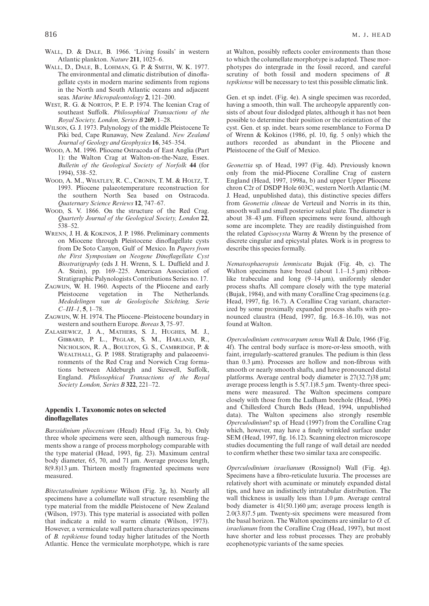- WALL, D. & DALE, B. 1966. 'Living fossils' in western Atlantic plankton. *Nature* **211**, 1025–6.
- WALL, D., DALE, B., LOHMAN, G. P. & SMITH, W. K. 1977. The environmental and climatic distribution of dinoflagellate cysts in modern marine sediments from regions in the North and South Atlantic oceans and adjacent seas. *Marine Micropaleontology* **2**, 121–200.
- WEST, R. G. & NORTON, P. E. P. 1974. The Icenian Crag of southeast Suffolk. *Philosophical Transactions of the Royal Society, London, Series B* **269**, 1–28.
- WILSON, G. J. 1973. Palynology of the middle Pleistocene Te Piki bed, Cape Runaway, New Zealand. *New Zealand Journal of Geology and Geophysics* **16**, 345–354.
- WOOD, A. M. 1996. Pliocene Ostracoda of East Anglia (Part 1): the Walton Crag at Walton-on-the-Naze, Essex. *Bulletin of the Geological Society of Norfolk* **44** (for 1994), 538–52.
- WOOD, A. M., WHATLEY, R. C., CRONIN, T. M. & HOLTZ, T. 1993. Pliocene palaeotemperature reconstruction for the southern North Sea based on Ostracoda. *Quaternary Science Reviews* **12**, 747–67.
- WOOD, S. V. 1866. On the structure of the Red Crag. *Quarterly Journal of the Geological Society, London* **22**, 538–52.
- WRENN, J. H. & KOKINOS, J. P. 1986. Preliminary comments on Miocene through Pleistocene dinoflagellate cysts from De Soto Canyon, Gulf of Mexico. In *Papers from the First Symposium on Neogene Dinoflagellate Cyst Biostratigraphy* (eds J. H. Wrenn, S. L. Duffield and J. A. Stein), pp. 169–225. American Association of Stratigraphic Palynologists Contributions Series no. 17.
- ZAGWIJN, W. H. 1960. Aspects of the Pliocene and early Pleistocene vegetation in The Netherlands. *Mededelingen van de Geologische Stichting, Serie C–III–1*, **5**, 1–78.
- ZAGWIJN, W. H. 1974. The Pliocene–Pleistocene boundary in western and southern Europe. *Boreas* **3**, 75–97.
- ZALASIEWICZ, J. A., MATHERS, S. J., HUGHES, M. J., GIBBARD, P. L., PEGLAR, S. M., HARLAND, R., NICHOLSON, R. A., BOULTON, G. S., CAMBRIDGE, P. & WEALTHALL, G. P. 1988. Stratigraphy and palaeoenvironments of the Red Crag and Norwich Crag formations between Aldeburgh and Sizewell, Suffolk, England. *Philosophical Transactions of the Royal Society London, Series B* **322**, 221–72.

## **Appendix 1. Taxonomic notes on selected dinoflagellates**

*Barssidinium pliocenicum* (Head) Head (Fig. 3a, b). Only three whole specimens were seen, although numerous fragments show a range of process morphology comparable with the type material (Head, 1993, fig. 23). Maximum central body diameter, 65, 70, and 71 µm. Average process length,  $8(9.8)13 \mu m$ . Thirteen mostly fragmented specimens were measured.

*Bitectatodinium tepikiense* Wilson (Fig. 3g, h). Nearly all specimens have a columellate wall structure resembling the type material from the middle Pleistocene of New Zealand (Wilson, 1973). This type material is associated with pollen that indicate a mild to warm climate (Wilson, 1973). However, a vermiculate wall pattern characterizes specimens of *B. tepikiense* found today higher latitudes of the North Atlantic. Hence the vermiculate morphotype, which is rare at Walton, possibly reflects cooler environments than those to which the columellate morphotype is adapted. These morphotypes do intergrade in the fossil record, and careful scrutiny of both fossil and modern specimens of *B. tepikiense* will be necessary to test this possible climatic link.

Gen. et sp. indet. (Fig. 4e). A single specimen was recorded, having a smooth, thin wall. The archeopyle apparently consists of about four dislodged plates, although it has not been possible to determine their position or the orientation of the cyst. Gen. et sp. indet. bears some resemblance to Forma D of Wrenn & Kokinos (1986, pl. 10, fig. 5 only) which the authors recorded as abundant in the Pliocene and Pleistocene of the Gulf of Mexico.

*Geonettia* sp. of Head, 1997 (Fig. 4d). Previously known only from the mid-Pliocene Coralline Crag of eastern England (Head, 1997, 1998a, b) and upper Upper Pliocene chron C2r of DSDP Hole 603C, western North Atlantic (M. J. Head, unpublished data), this distinctive species differs from *Geonettia clineae* de Verteuil and Norris in its thin, smooth wall and small posterior sulcal plate. The diameter is about 38–43 µm. Fifteen specimens were found, although some are incomplete. They are readily distinguished from the related *Capisocysta* Warny & Wrenn by the presence of discrete cingular and epicystal plates. Work is in progress to describe this species formally.

*Nematosphaeropsis lemniscata* Bujak (Fig. 4b, c). The Walton specimens have broad (about  $1.1-1.5 \,\mu m$ ) ribbonlike trabeculae and long  $(9-14 \mu m)$ , uniformly slender process shafts. All compare closely with the type material (Bujak, 1984), and with many Coralline Crag specimens (e.g. Head, 1997, fig. 16.7). A Coralline Crag variant, characterized by some proximally expanded process shafts with pronounced claustra (Head, 1997, fig. 16.8–16.10), was not found at Walton.

*Operculodinium centrocarpum sensu* Wall & Dale, 1966 (Fig. 4f). The central body surface is more-or-less smooth, with faint, irregularly-scattered granules. The pedium is thin (less than  $0.3 \mu m$ ). Processes are hollow and non-fibrous with smooth or nearly smooth shafts, and have pronounced distal platforms. Average central body diameter is  $27(32.7)38 \mu m$ ; average process length is 5.5(7.1)8.5 µm. Twenty-three specimens were measured. The Walton specimens compare closely with those from the Ludham borehole (Head, 1996) and Chillesford Church Beds (Head, 1994, unpublished data). The Walton specimens also strongly resemble *Operculodinium*? sp. of Head (1997) from the Coralline Crag which, however, may have a finely wrinkled surface under SEM (Head, 1997, fig. 16.12). Scanning electron microscope studies documenting the full range of wall detail are needed to confirm whether these two similar taxa are conspecific.

*Operculodinium israelianum* (Rossignol) Wall (Fig. 4g). Specimens have a fibro-reticulate luxuria. The processes are relatively short with acuminate or minutely expanded distal tips, and have an indistinctly intratabular distribution. The wall thickness is usually less than  $1.0 \mu m$ . Average central body diameter is  $41(50.1)60 \,\text{\mu m}$ ; average process length is 2.0(3.8)7.5 µm. Twenty-six specimens were measured from the basal horizon. The Walton specimens are similar to *O.* cf. *israelianum* from the Coralline Crag (Head, 1997), but most have shorter and less robust processes. They are probably ecophenotypic variants of the same species.